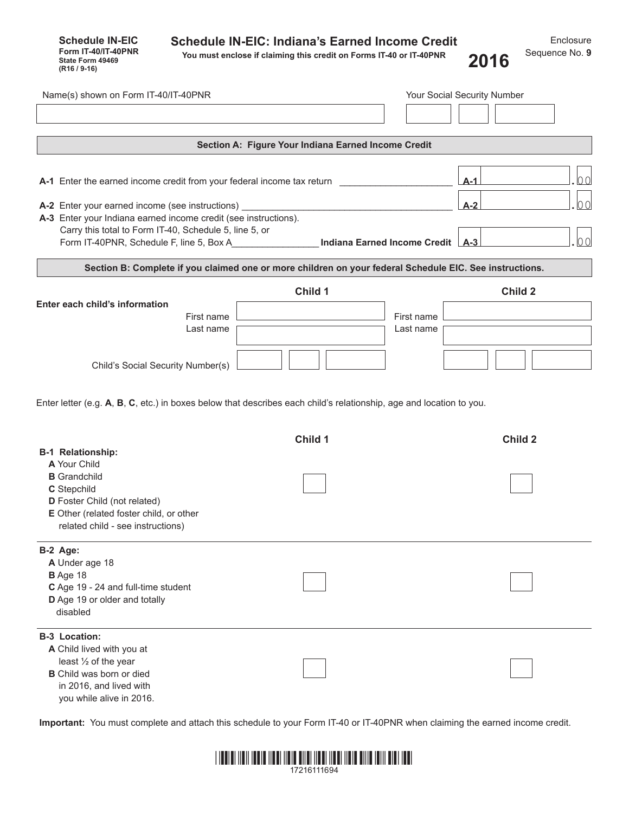| <b>Schedule IN-EIC</b><br>Form IT-40/IT-40PNR<br>State Form 49469<br>(R16 / 9-16) | <b>Schedule IN-EIC: Indiana's Earned Income Credit</b><br>You must enclose if claiming this credit on Forms IT-40 or IT-40PNR | 2016 | Enclosure<br>Sequence No. 9 |
|-----------------------------------------------------------------------------------|-------------------------------------------------------------------------------------------------------------------------------|------|-----------------------------|
|                                                                                   |                                                                                                                               |      |                             |

| Name(s) shown on Form IT-40/IT-40PNR                                                                    |                                                     |            | Your Social Security Number |  |
|---------------------------------------------------------------------------------------------------------|-----------------------------------------------------|------------|-----------------------------|--|
|                                                                                                         |                                                     |            |                             |  |
|                                                                                                         | Section A: Figure Your Indiana Earned Income Credit |            |                             |  |
|                                                                                                         |                                                     |            |                             |  |
| A-1 Enter the earned income credit from your federal income tax return                                  |                                                     |            | 00<br>$A-1$                 |  |
| A-2 Enter your earned income (see instructions)                                                         |                                                     |            | 00<br>$A-2$                 |  |
| A-3 Enter your Indiana earned income credit (see instructions).                                         |                                                     |            |                             |  |
| Carry this total to Form IT-40, Schedule 5, line 5, or                                                  |                                                     |            |                             |  |
| Form IT-40PNR, Schedule F, line 5, Box A <b>Indiana Earned Income Credit</b> [A-3]                      |                                                     |            | 100                         |  |
| Section B: Complete if you claimed one or more children on your federal Schedule EIC. See instructions. |                                                     |            |                             |  |
|                                                                                                         | Child 1                                             |            | Child 2                     |  |
| Enter each child's information                                                                          |                                                     |            |                             |  |
| First name                                                                                              |                                                     | First name |                             |  |
| Last name                                                                                               |                                                     | Last name  |                             |  |
|                                                                                                         |                                                     |            |                             |  |
| Child's Social Security Number(s)                                                                       |                                                     |            |                             |  |
| <b>B-1 Relationship:</b>                                                                                | Child 1                                             |            | <b>Child 2</b>              |  |
| A Your Child                                                                                            |                                                     |            |                             |  |
| <b>B</b> Grandchild<br>C Stepchild                                                                      |                                                     |            |                             |  |
| D Foster Child (not related)                                                                            |                                                     |            |                             |  |
| E Other (related foster child, or other                                                                 |                                                     |            |                             |  |
| related child - see instructions)                                                                       |                                                     |            |                             |  |
| B-2 Age:                                                                                                |                                                     |            |                             |  |
| A Under age 18                                                                                          |                                                     |            |                             |  |
| B Age 18                                                                                                |                                                     |            |                             |  |
| C Age 19 - 24 and full-time student                                                                     |                                                     |            |                             |  |
| D Age 19 or older and totally<br>disabled                                                               |                                                     |            |                             |  |
|                                                                                                         |                                                     |            |                             |  |
| <b>B-3 Location:</b>                                                                                    |                                                     |            |                             |  |
| A Child lived with you at<br>least 1/2 of the year                                                      |                                                     |            |                             |  |
| <b>B</b> Child was born or died                                                                         |                                                     |            |                             |  |
| in 2016, and lived with                                                                                 |                                                     |            |                             |  |
| you while alive in 2016.                                                                                |                                                     |            |                             |  |

**Important:** You must complete and attach this schedule to your Form IT-40 or IT-40PNR when claiming the earned income credit.